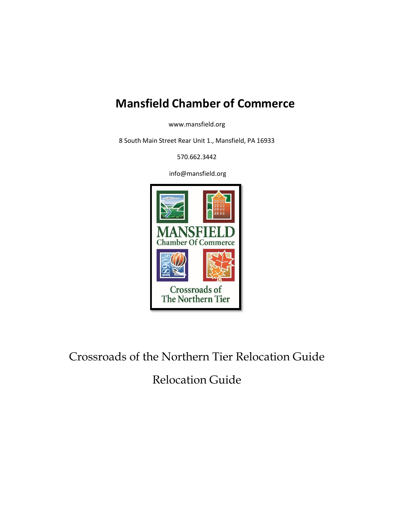## **Mansfield Chamber of Commerce**

www.mansfield.org

8 South Main Street Rear Unit 1., Mansfield, PA 16933

570.662.3442

info@mansfield.org



Crossroads of the Northern Tier Relocation Guide

Relocation Guide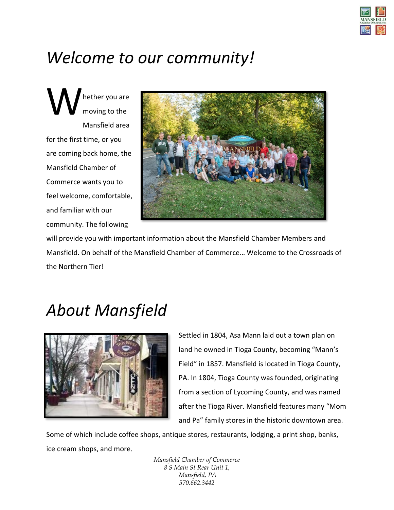

# *Welcome to our community!*

hether you are moving to the Mansfield area for the first time, or you are coming back home, the Mansfield Chamber of Commerce wants you to feel welcome, comfortable, and familiar with our community. The following W



will provide you with important information about the Mansfield Chamber Members and Mansfield. On behalf of the Mansfield Chamber of Commerce… Welcome to the Crossroads of the Northern Tier!

# *About Mansfield*



Settled in 1804, Asa Mann laid out a town plan on land he owned in Tioga County, becoming "Mann's Field" in 1857. Mansfield is located in Tioga County, PA. In 1804, Tioga County was founded, originating from a section of Lycoming County, and was named after the Tioga River. Mansfield features many "Mom and Pa" family stores in the historic downtown area.

Some of which include coffee shops, antique stores, restaurants, lodging, a print shop, banks, ice cream shops, and more.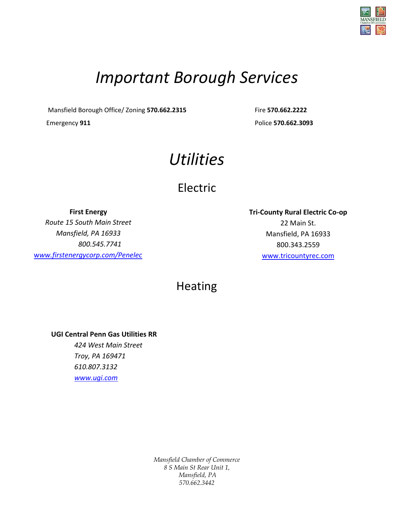

# *Important Borough Services*

Mansfield Borough Office/ Zoning **570.662.2315** Fire **570.662.2222**

Emergency **911** Police **570.662.3093**

# *Utilities*

## Electric

**First Energy** *Route 15 South Main Street Mansfield, PA 16933 800.545.7741* w*[ww.firstenergycorp.com/Penelec](http://www.firstenergycorp.com/Penelec)* **Tri-County Rural Electric Co-op** 22 Main St. Mansfield, PA 16933 800.343.2559 [www.tricountyrec.com](http://www.tricountyrec.com/)

## Heating

**UGI Central Penn Gas Utilities RR** *424 West Main Street Troy, PA 169471 610.807.3132 [www.ugi.com](http://www.ugi.com/)*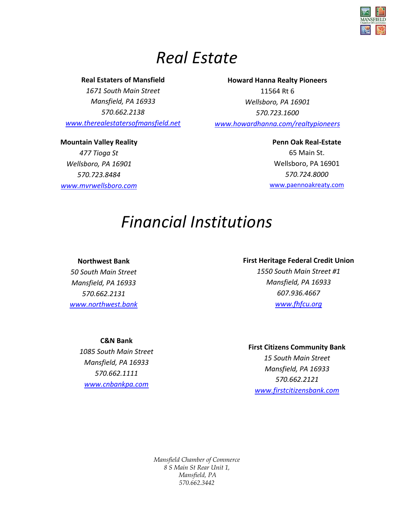

## *Real Estate*

### **Real Estaters of Mansfield**

*1671 South Main Street Mansfield, PA 16933 570.662.2138 [www.therealestatersofmansfield.net](http://www.therealestatersofmansfield.net/)*

**Mountain Valley Reality** *477 Tioga St Wellsboro, PA 16901 570.723.8484 [www.mvrwellsboro.com](http://www.mvrwellsboro.com/)*

## **Howard Hanna Realty Pioneers** 11564 Rt 6 *Wellsboro, PA 16901 570.723.1600*

*[www.howardhanna.com/realtypioneers](http://www.howardhanna.com/realtypioneers)*

**Penn Oak Real-Estate** 65 Main St. Wellsboro, PA 16901 *570.724.8000* [www.paennoakreaty.com](http://www.paennoakreaty.com/)

# *Financial Institutions*

## **Northwest Bank**

*50 South Main Street Mansfield, PA 16933 570.662.2131 [www.northwest.bank](http://www.northwest.bank/)*

## **First Heritage Federal Credit Union**

*1550 South Main Street #1 Mansfield, PA 16933 607.936.4667 [www.fhfcu.org](http://www.fhfcu.org/)*

## **C&N Bank**

*1085 South Main Street Mansfield, PA 16933 570.662.1111 [www.cnbankpa.com](http://www.cnbankpa.com/)*

## **First Citizens Community Bank**

*15 South Main Street Mansfield, PA 16933 570.662.2121 [www.firstcitizensbank.com](http://www.firstcitizensbank.com/)*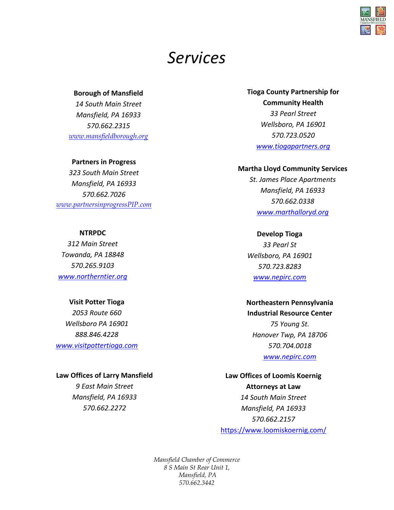## *Services*

#### **Borough of Mansfield**

*14 South Main Street Mansfield, PA 16933 570.662.2315 [www.mansfieldborough.org](http://www.mansfieldborough.org/)*

#### **Partners in Progress**

*323 South Main Street Mansfield, PA 16933 570.662.7026 [www.partnersinprogressPIP.com](http://www.partnersinprogresspip.com/)*

#### **NTRPDC**

*312 Main Street Towanda, PA 18848 570.265.9103 [www.northerntier.org](http://www.northerntier.org/)*

#### **Visit Potter Tioga**

*2053 Route 660 Wellsboro PA 16901 888.846.4228 [www.visitpottertioga.com](file:///C:/Users/MCC/Documents/Relocation%20guide/www.visitpottertioga.com)*

### **Law Offices of Larry Mansfield**

*9 East Main Street Mansfield, PA 16933 570.662.2272*

## **Tioga County Partnership for Community Health** *33 Pearl Street Wellsboro, PA 16901 570.723.0520 [www.tiogapartners.org](http://www.tiogapartners.org/)*

#### **Martha Lloyd Community Services**

*St. James Place Apartments Mansfield, PA 16933 570.662.0338 [www.marthalloryd.org](http://www.marthalloryd.org/)*

#### **Develop Tioga**

*33 Pearl St Wellsboro, PA 16901 570.723.8283 [www.nepirc.com](http://www.nepirc.com/)*

### **Northeastern Pennsylvania Industrial Resource Center**

*75 Young St. Hanover Twp, PA 18706 570.704.0018 [www.nepirc.com](http://www.nepirc.com/)*

## **Law Offices of Loomis Koernig Attorneys at Law** *14 South Main Street Mansfield, PA 16933 570.662.2157*

<https://www.loomiskoernig.com/>

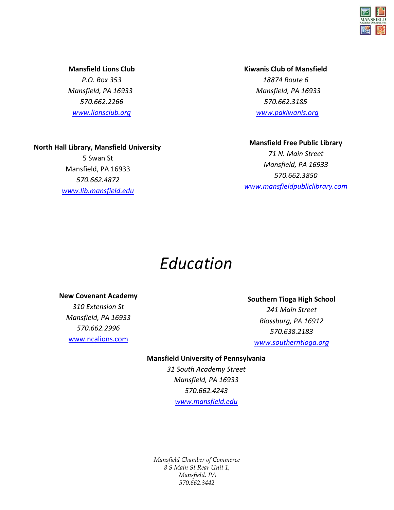

*Libraries [www.lionsclub.org](http://www.lionsclub.org/)* **Mansfield Lions Club** *P.O. Box 353 Mansfield, PA 16933 570.662.2266*

**Kiwanis Club of Mansfield** *18874 Route 6 Mansfield, PA 16933 570.662.3185 [www.pakiwanis.org](http://www.pakiwanis.org/)*

### **North Hall Library, Mansfield University**

5 Swan St Mansfield, PA 16933 *570.662.4872 [www.lib.mansfield.edu](http://www.lib.mansfield.edu/)*

**Mansfield Free Public Library** *71 N. Main Street Mansfield, PA 16933 570.662.3850 [www.mansfieldpubliclibrary.com](http://www.mansfieldpubliclibrary.com/)*

## *Education*

#### **New Covenant Academy**

*310 Extension St Mansfield, PA 16933 570.662.2996* [www.ncalions.com](http://www.ncalions.com/)

**Southern Tioga High School** *241 Main Street Blossburg, PA 16912 570.638.2183 [www.southerntioga.org](http://www.southerntioga.org/)*

## **Mansfield University of Pennsylvania**

*31 South Academy Street Mansfield, PA 16933 570.662.4243 [www.mansfield.edu](http://www.mansfield.edu/)*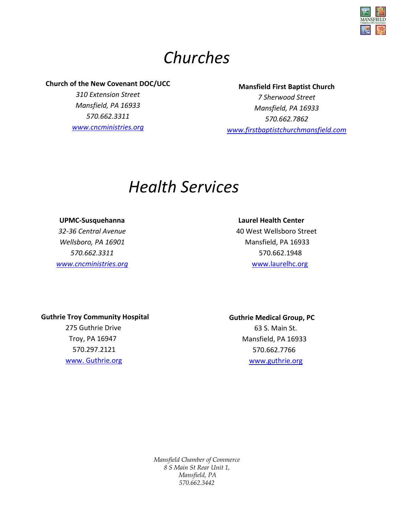

# *Churches*

## **Church of the New Covenant DOC/UCC**

*310 Extension Street Mansfield, PA 16933 570.662.3311 [www.cncministries.org](http://www.cncministries.org/)*

## **Mansfield First Baptist Church**

*7 Sherwood Street Mansfield, PA 16933 570.662.7862 [www.firstbaptistchurchmansfield.com](http://www.firstbaptistchurchmansfield.com/)*

## *Health Services*

**UPMC-Susquehanna** *32-36 Central Avenue Wellsboro, PA 16901 570.662.3311 [www.cncministries.org](http://www.cncministries.org/)*

## **Laurel Health Center**

 40 West Wellsboro Street Mansfield, PA 16933 570.662.1948 [www.laurelhc.org](http://www.laurelhc.org/)

## **Guthrie Troy Community Hospital**

 275 Guthrie Drive Troy, PA 16947 570.297.2121 [www. Guthrie.org](http://www.guthrie.org/)

## **Guthrie Medical Group, PC**

 63 S. Main St. Mansfield, PA 16933 570.662.7766 [www.guthrie.org](http://www.guthrie.org/)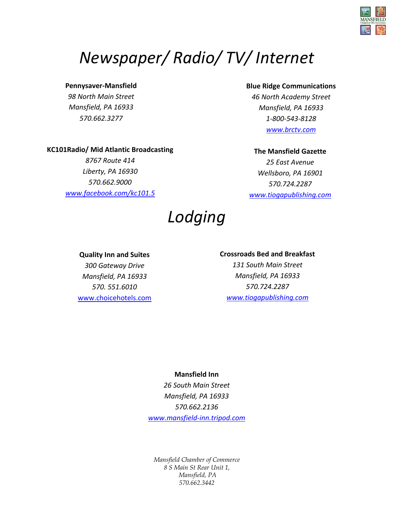

# *Newspaper/ Radio/ TV/ Internet*

## **Pennysaver-Mansfield**

*Lodging Mansfield, PA 16933 98 North Main Street 570.662.3277*

## **Blue Ridge Communications**

*46 North Academy Street Mansfield, PA 16933 1-800-543-8128 [www.brctv.com](http://www.tiogapublishing.com/)* 

## **KC101Radio/ Mid Atlantic Broadcasting**

*8767 Route 414 Liberty, PA 16930 570.662.9000 [www.facebook.com/kc101.5](http://www.facebook.com/kc101.5)* 

### **The Mansfield Gazette**

*25 East Avenue Wellsboro, PA 16901 570.724.2287 [www.tiogapublishing.com](http://www.tiogapublishing.com/)*

# *Lodging*

## **Quality Inn and Suites**

*300 Gateway Drive Mansfield, PA 16933 570. 551.6010*  <www.choicehotels.com>

### **Crossroads Bed and Breakfast**

*131 South Main Street Mansfield, PA 16933 570.724.2287 [www.tiogapublishing.com](http://www.tiogapublishing.com/)*

## **Mansfield Inn**

*26 South Main Street Mansfield, PA 16933 570.662.2136 [www.mansfield-inn.tripod.com](http://www.tiogapublishing.com/)*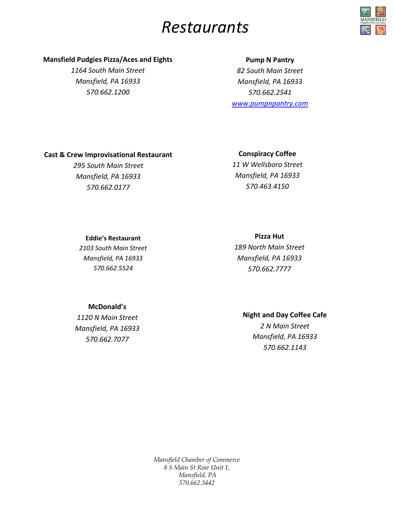## *Restaurants*



## **Mansfield Pudgies Pizza/Aces and Eights**

*1164 South Main Street Mansfield, PA 16933 570.662.1200*

## **Pump N Pantry**

*82 South Main Street Mansfield, PA 16933 570.662.2541 [www.pumpnpantry.com](http://www.pumpnpantry.com/)*

## **Cast & Crew Improvisational Restaurant**

*295 South Main Street Mansfield, PA 16933 570.662.0177* 

#### **Conspiracy Coffee**

*11 W Wellsboro Street Mansfield, PA 16933 570.463.4150* 

### **Eddie's Restaurant**

*2103 South Main Street Mansfield, PA 16933 570.662.5524*

**Pizza Hut**

*189 North Main Street Mansfield, PA 16933 570.662.7777* 

## **McDonald's**

*1120 N Main Street Mansfield, PA 16933 570.662.7077* 

## **Night and Day Coffee Cafe**

*2 N Main Street Mansfield, PA 16933 570.662.1143*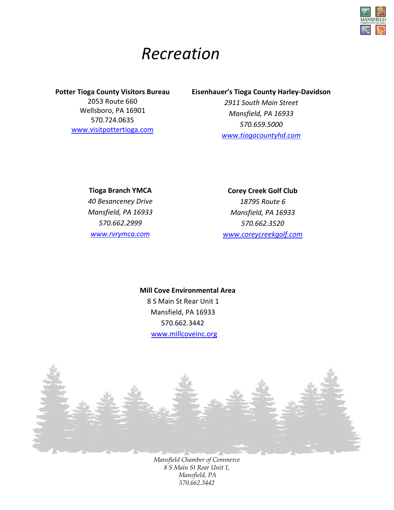

## *Recreation*

## **Potter Tioga County Visitors Bureau** 2053 Route 660 Wellsboro, PA 16901 570.724.0635 [www.visitpottertioga.com](http://www.visitpottertioga.com/)

## **Eisenhauer's Tioga County Harley-Davidson**

*2911 South Main Street Mansfield, PA 16933 570.659.5000 <www.tiogacountyhd.com>*

**Tioga Branch YMCA** *40 Besanceney Drive Mansfield, PA 16933 570.662.2999 [www.rvrymca.com](http://www.rvrymca.com/)*

**Corey Creek Golf Club**  *18795 Route 6 Mansfield, PA 16933 570.662.3520 [www.coreycreekgolf.com](http://www.coreycreekgolf.com/)*

## **Mill Cove Environmental Area** 8 S Main St Rear Unit 1

 Mansfield, PA 16933 570.662.3442 <www.millcoveinc.org>

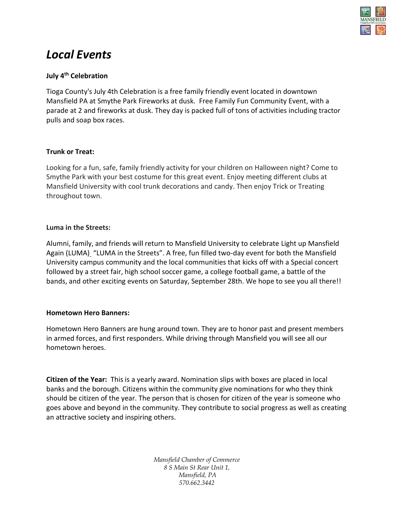

## *Local Events*

## **July 4th Celebration**

Tioga County's July 4th Celebration is a free family friendly event located in downtown Mansfield PA at Smythe Park Fireworks at dusk. Free Family Fun Community Event, with a parade at 2 and fireworks at dusk. They day is packed full of tons of activities including tractor pulls and soap box races.

## **Trunk or Treat:**

Looking for a fun, safe, family friendly activity for your children on Halloween night? Come to Smythe Park with your best costume for this great event. Enjoy meeting different clubs at Mansfield University with cool trunk decorations and candy. Then enjoy Trick or Treating throughout town.

### **Luma in the Streets:**

Alumni, family, and friends will return to Mansfield University to celebrate [Light up Mansfield](http://mansfield.edu/homecoming)  [Again \(LUMA\)](http://mansfield.edu/homecoming) "LUMA in the Streets". A free, fun filled two-day event for both the Mansfield University campus community and the local communities that kicks off with a Special concert followed by a street fair, high school soccer game, a college football game, a battle of the bands, and other exciting events on Saturday, September 28th. We hope to see you all there!!

## **Hometown Hero Banners:**

Hometown Hero Banners are hung around town. They are to honor past and present members in armed forces, and first responders. While driving through Mansfield you will see all our hometown heroes.

**Citizen of the Year:** This is a yearly award. Nomination slips with boxes are placed in local banks and the borough. Citizens within the community give nominations for who they think should be citizen of the year. The person that is chosen for citizen of the year is someone who goes above and beyond in the community. They contribute to social progress as well as creating an attractive society and inspiring others.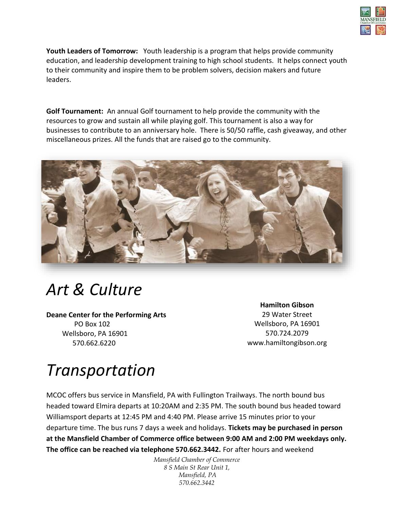

**Youth Leaders of Tomorrow:** Youth leadership is a program that helps provide community education, and leadership development training to high school students. It helps connect youth to their community and inspire them to be problem solvers, decision makers and future leaders.

**Golf Tournament:** An annual Golf tournament to help provide the community with the resources to grow and sustain all while playing golf. This tournament is also a way for businesses to contribute to an anniversary hole. There is 50/50 raffle, cash giveaway, and other miscellaneous prizes. All the funds that are raised go to the community.



# *Art & Culture*

**Deane Center for the Performing Arts** PO Box 102 Wellsboro, PA 16901 570.662.6220

**Hamilton Gibson** 29 Water Street Wellsboro, PA 16901 570.724.2079 www.hamiltongibson.org

# *Transportation*

MCOC offers bus service in Mansfield, PA with Fullington Trailways. The north bound bus headed toward Elmira departs at 10:20AM and 2:35 PM. The south bound bus headed toward Williamsport departs at 12:45 PM and 4:40 PM. Please arrive 15 minutes prior to your departure time. The bus runs 7 days a week and holidays. **Tickets may be purchased in person at the Mansfield Chamber of Commerce office between 9:00 AM and 2:00 PM weekdays only. The office can be reached via telephone 570.662.3442.** For after hours and weekend